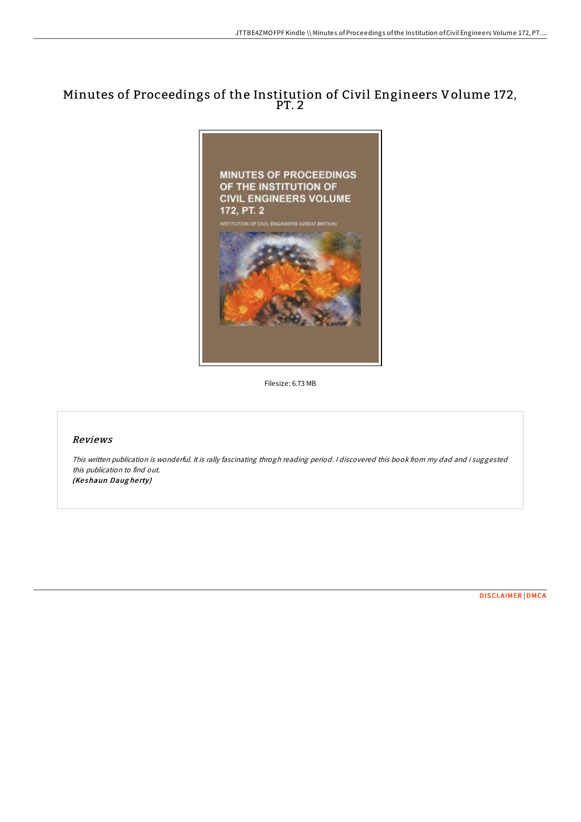## Minutes of Proceedings of the Institution of Civil Engineers Volume 172, PT. 2



Filesize: 6.73 MB

## Reviews

This written publication is wonderful. It is rally fascinating throgh reading period. <sup>I</sup> discovered this book from my dad and i suggested this publication to find out. (Keshaun Daugherty)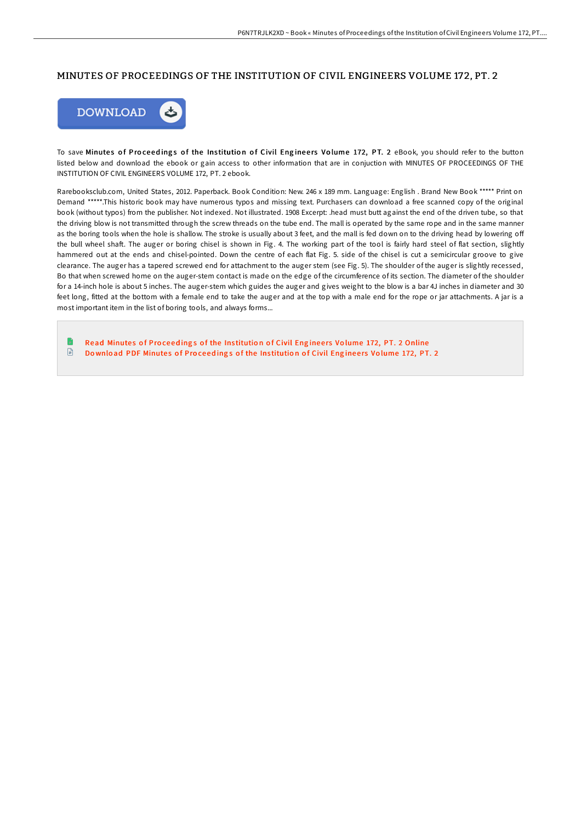## MINUTES OF PROCEEDINGS OF THE INSTITUTION OF CIVIL ENGINEERS VOLUME 172, PT. 2



To save Minutes of Proceedings of the Institution of Civil Engineers Volume 172, PT. 2 eBook, you should refer to the button listed below and download the ebook or gain access to other information that are in conjuction with MINUTES OF PROCEEDINGS OF THE INSTITUTION OF CIVIL ENGINEERS VOLUME 172, PT. 2 ebook.

Rarebooksclub.com, United States, 2012. Paperback. Book Condition: New. 246 x 189 mm. Language: English . Brand New Book \*\*\*\*\* Print on Demand \*\*\*\*\*.This historic book may have numerous typos and missing text. Purchasers can download a free scanned copy of the original book (without typos) from the publisher. Not indexed. Not illustrated. 1908 Excerpt: .head must butt against the end of the driven tube, so that the driving blow is not transmitted through the screw threads on the tube end. The mall is operated by the same rope and in the same manner as the boring tools when the hole is shallow. The stroke is usually about 3 feet, and the mall is fed down on to the driving head by lowering off the bull wheel shaF. The auger or boring chisel is shown in Fig. 4. The working part of the tool is fairly hard steel of flat section, slightly hammered out at the ends and chisel-pointed. Down the centre of each flat Fig. 5. side of the chisel is cut a semicircular groove to give clearance. The auger has a tapered screwed end for attachment to the auger stem (see Fig. 5). The shoulder of the auger is slightly recessed, Bo that when screwed home on the auger-stem contact is made on the edge of the circumference of its section. The diameter of the shoulder for a 14-inch hole is about 5 inches. The auger-stem which guides the auger and gives weight to the blow is a bar 4J inches in diameter and 30 feet long, fitted at the bottom with a female end to take the auger and at the top with a male end for the rope or jar attachments. A jar is a most important item in the list of boring tools, and always forms...

Read [Minute](http://almighty24.tech/minutes-of-proceedings-of-the-institution-of-civ-12.html)s of Proceedings of the Institution of Civil Engineers Volume 172, PT. 2 Online  $\mathbf{r}$ Download PDF [Minute](http://almighty24.tech/minutes-of-proceedings-of-the-institution-of-civ-12.html)s of Proceedings of the Institution of Civil Engineers Volume 172, PT. 2